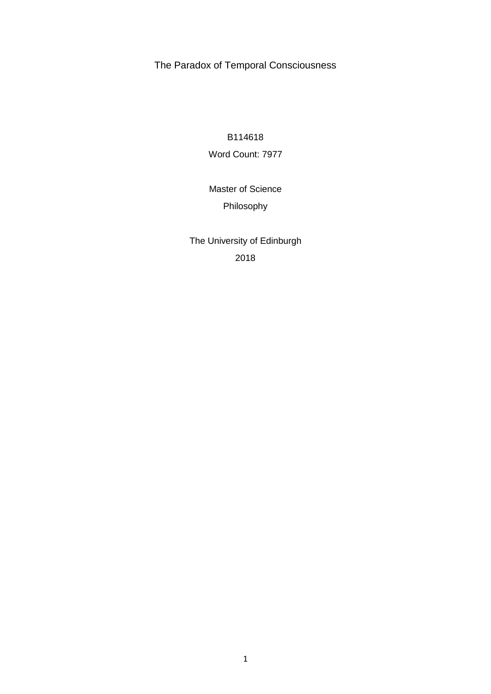The Paradox of Temporal Consciousness

B114618

# Word Count: 7977

# Master of Science Philosophy

The University of Edinburgh 2018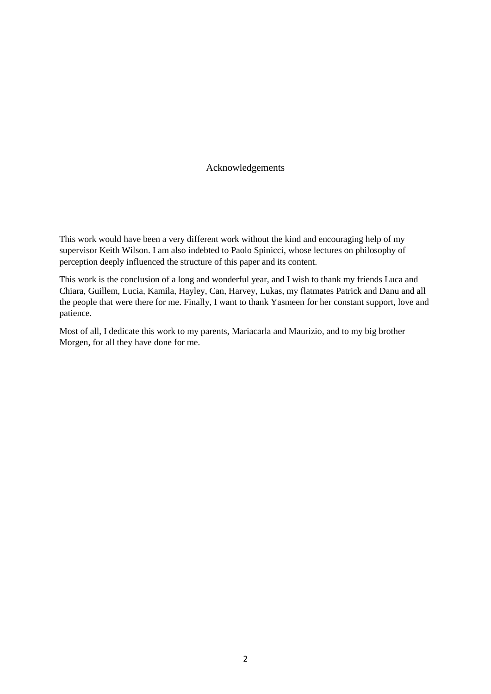# Acknowledgements

This work would have been a very different work without the kind and encouraging help of my supervisor Keith Wilson. I am also indebted to Paolo Spinicci, whose lectures on philosophy of perception deeply influenced the structure of this paper and its content.

This work is the conclusion of a long and wonderful year, and I wish to thank my friends Luca and Chiara, Guillem, Lucia, Kamila, Hayley, Can, Harvey, Lukas, my flatmates Patrick and Danu and all the people that were there for me. Finally, I want to thank Yasmeen for her constant support, love and patience.

Most of all, I dedicate this work to my parents, Mariacarla and Maurizio, and to my big brother Morgen, for all they have done for me.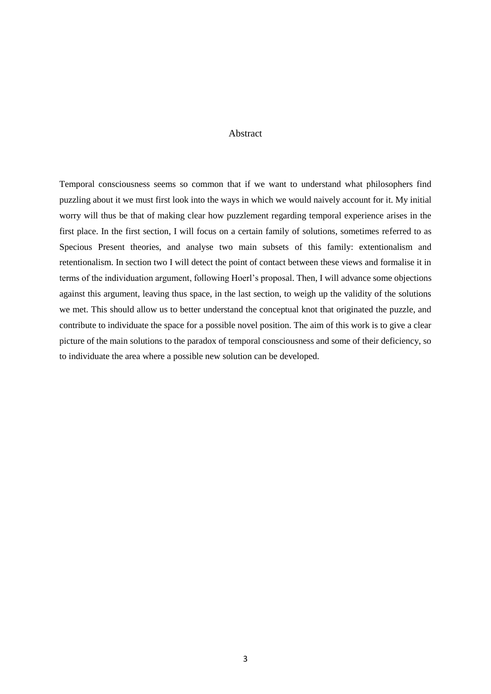## Abstract

Temporal consciousness seems so common that if we want to understand what philosophers find puzzling about it we must first look into the ways in which we would naively account for it. My initial worry will thus be that of making clear how puzzlement regarding temporal experience arises in the first place. In the first section, I will focus on a certain family of solutions, sometimes referred to as Specious Present theories, and analyse two main subsets of this family: extentionalism and retentionalism. In section two I will detect the point of contact between these views and formalise it in terms of the individuation argument, following Hoerl's proposal. Then, I will advance some objections against this argument, leaving thus space, in the last section, to weigh up the validity of the solutions we met. This should allow us to better understand the conceptual knot that originated the puzzle, and contribute to individuate the space for a possible novel position. The aim of this work is to give a clear picture of the main solutions to the paradox of temporal consciousness and some of their deficiency, so to individuate the area where a possible new solution can be developed.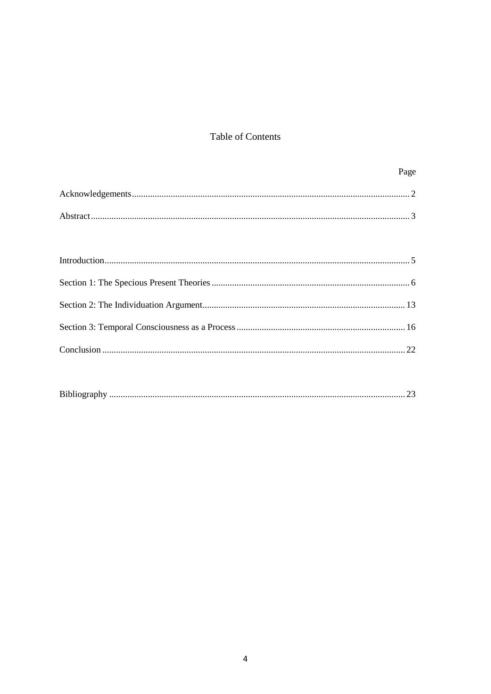# Table of Contents

| Page |
|------|
|      |
|      |
|      |

| Bibliography |
|--------------|
|--------------|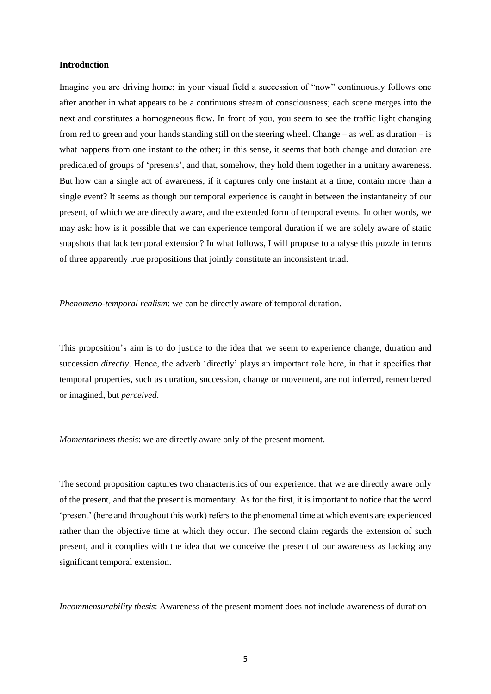#### **Introduction**

Imagine you are driving home; in your visual field a succession of "now" continuously follows one after another in what appears to be a continuous stream of consciousness; each scene merges into the next and constitutes a homogeneous flow. In front of you, you seem to see the traffic light changing from red to green and your hands standing still on the steering wheel. Change – as well as duration – is what happens from one instant to the other; in this sense, it seems that both change and duration are predicated of groups of 'presents', and that, somehow, they hold them together in a unitary awareness. But how can a single act of awareness, if it captures only one instant at a time, contain more than a single event? It seems as though our temporal experience is caught in between the instantaneity of our present, of which we are directly aware, and the extended form of temporal events. In other words, we may ask: how is it possible that we can experience temporal duration if we are solely aware of static snapshots that lack temporal extension? In what follows, I will propose to analyse this puzzle in terms of three apparently true propositions that jointly constitute an inconsistent triad.

*Phenomeno-temporal realism*: we can be directly aware of temporal duration.

This proposition's aim is to do justice to the idea that we seem to experience change, duration and succession *directly*. Hence, the adverb 'directly' plays an important role here, in that it specifies that temporal properties, such as duration, succession, change or movement, are not inferred, remembered or imagined, but *perceived*.

*Momentariness thesis*: we are directly aware only of the present moment.

The second proposition captures two characteristics of our experience: that we are directly aware only of the present, and that the present is momentary. As for the first, it is important to notice that the word 'present' (here and throughout this work) refers to the phenomenal time at which events are experienced rather than the objective time at which they occur. The second claim regards the extension of such present, and it complies with the idea that we conceive the present of our awareness as lacking any significant temporal extension.

*Incommensurability thesis*: Awareness of the present moment does not include awareness of duration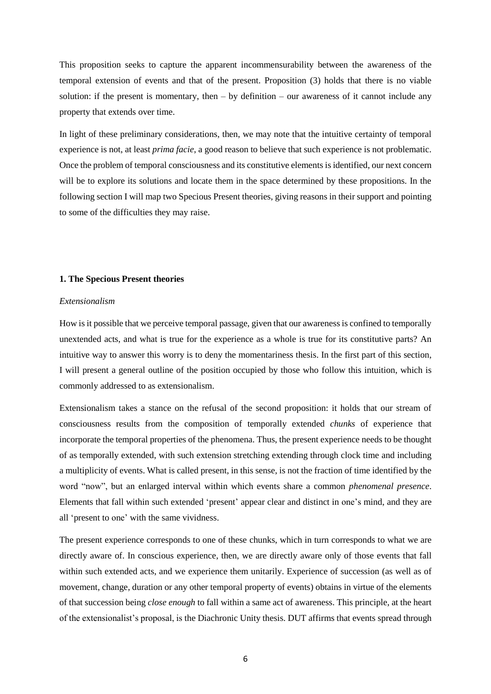This proposition seeks to capture the apparent incommensurability between the awareness of the temporal extension of events and that of the present. Proposition (3) holds that there is no viable solution: if the present is momentary, then  $-$  by definition  $-$  our awareness of it cannot include any property that extends over time.

In light of these preliminary considerations, then, we may note that the intuitive certainty of temporal experience is not, at least *prima facie*, a good reason to believe that such experience is not problematic. Once the problem of temporal consciousness and its constitutive elements is identified, our next concern will be to explore its solutions and locate them in the space determined by these propositions. In the following section I will map two Specious Present theories, giving reasons in their support and pointing to some of the difficulties they may raise.

#### **1. The Specious Present theories**

#### *Extensionalism*

How is it possible that we perceive temporal passage, given that our awareness is confined to temporally unextended acts, and what is true for the experience as a whole is true for its constitutive parts? An intuitive way to answer this worry is to deny the momentariness thesis. In the first part of this section, I will present a general outline of the position occupied by those who follow this intuition, which is commonly addressed to as extensionalism.

Extensionalism takes a stance on the refusal of the second proposition: it holds that our stream of consciousness results from the composition of temporally extended *chunks* of experience that incorporate the temporal properties of the phenomena. Thus, the present experience needs to be thought of as temporally extended, with such extension stretching extending through clock time and including a multiplicity of events. What is called present, in this sense, is not the fraction of time identified by the word "now", but an enlarged interval within which events share a common *phenomenal presence*. Elements that fall within such extended 'present' appear clear and distinct in one's mind, and they are all 'present to one' with the same vividness.

The present experience corresponds to one of these chunks, which in turn corresponds to what we are directly aware of. In conscious experience, then, we are directly aware only of those events that fall within such extended acts, and we experience them unitarily. Experience of succession (as well as of movement, change, duration or any other temporal property of events) obtains in virtue of the elements of that succession being *close enough* to fall within a same act of awareness. This principle, at the heart of the extensionalist's proposal, is the Diachronic Unity thesis. DUT affirms that events spread through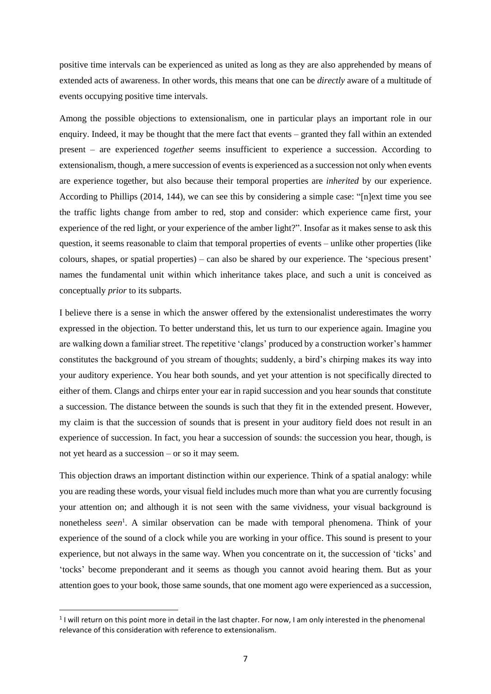positive time intervals can be experienced as united as long as they are also apprehended by means of extended acts of awareness. In other words, this means that one can be *directly* aware of a multitude of events occupying positive time intervals.

Among the possible objections to extensionalism, one in particular plays an important role in our enquiry. Indeed, it may be thought that the mere fact that events – granted they fall within an extended present – are experienced *together* seems insufficient to experience a succession. According to extensionalism, though, a mere succession of eventsis experienced as a succession not only when events are experience together, but also because their temporal properties are *inherited* by our experience. According to Phillips (2014, 144), we can see this by considering a simple case: "[n]ext time you see the traffic lights change from amber to red, stop and consider: which experience came first, your experience of the red light, or your experience of the amber light?". Insofar as it makes sense to ask this question, it seems reasonable to claim that temporal properties of events – unlike other properties (like colours, shapes, or spatial properties) – can also be shared by our experience. The 'specious present' names the fundamental unit within which inheritance takes place, and such a unit is conceived as conceptually *prior* to its subparts.

I believe there is a sense in which the answer offered by the extensionalist underestimates the worry expressed in the objection. To better understand this, let us turn to our experience again. Imagine you are walking down a familiar street. The repetitive 'clangs' produced by a construction worker's hammer constitutes the background of you stream of thoughts; suddenly, a bird's chirping makes its way into your auditory experience. You hear both sounds, and yet your attention is not specifically directed to either of them. Clangs and chirps enter your ear in rapid succession and you hear sounds that constitute a succession. The distance between the sounds is such that they fit in the extended present. However, my claim is that the succession of sounds that is present in your auditory field does not result in an experience of succession. In fact, you hear a succession of sounds: the succession you hear, though, is not yet heard as a succession – or so it may seem.

This objection draws an important distinction within our experience. Think of a spatial analogy: while you are reading these words, your visual field includes much more than what you are currently focusing your attention on; and although it is not seen with the same vividness, your visual background is nonetheless *seen*<sup>1</sup>. A similar observation can be made with temporal phenomena. Think of your experience of the sound of a clock while you are working in your office. This sound is present to your experience, but not always in the same way. When you concentrate on it, the succession of 'ticks' and 'tocks' become preponderant and it seems as though you cannot avoid hearing them. But as your attention goes to your book, those same sounds, that one moment ago were experienced as a succession,

1

<sup>&</sup>lt;sup>1</sup> I will return on this point more in detail in the last chapter. For now, I am only interested in the phenomenal relevance of this consideration with reference to extensionalism.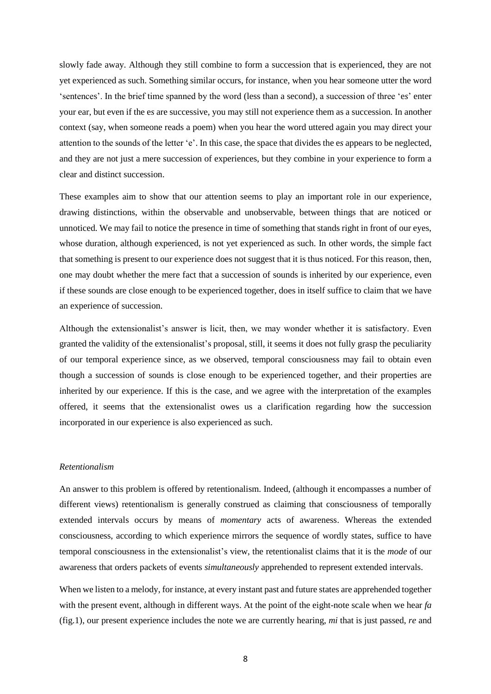slowly fade away. Although they still combine to form a succession that is experienced, they are not yet experienced as such. Something similar occurs, for instance, when you hear someone utter the word 'sentences'. In the brief time spanned by the word (less than a second), a succession of three 'e*s*' enter your ear, but even if the e*s* are successive, you may still not experience them as a succession. In another context (say, when someone reads a poem) when you hear the word uttered again you may direct your attention to the sounds of the letter 'e'. In this case, the space that divides the e*s* appears to be neglected, and they are not just a mere succession of experiences, but they combine in your experience to form a clear and distinct succession.

These examples aim to show that our attention seems to play an important role in our experience, drawing distinctions, within the observable and unobservable, between things that are noticed or unnoticed. We may fail to notice the presence in time of something that stands right in front of our eyes, whose duration, although experienced, is not yet experienced as such. In other words, the simple fact that something is present to our experience does not suggest that it is thus noticed. For this reason, then, one may doubt whether the mere fact that a succession of sounds is inherited by our experience, even if these sounds are close enough to be experienced together, does in itself suffice to claim that we have an experience of succession.

Although the extensionalist's answer is licit, then, we may wonder whether it is satisfactory. Even granted the validity of the extensionalist's proposal, still, it seems it does not fully grasp the peculiarity of our temporal experience since, as we observed, temporal consciousness may fail to obtain even though a succession of sounds is close enough to be experienced together, and their properties are inherited by our experience. If this is the case, and we agree with the interpretation of the examples offered, it seems that the extensionalist owes us a clarification regarding how the succession incorporated in our experience is also experienced as such.

## *Retentionalism*

An answer to this problem is offered by retentionalism. Indeed, (although it encompasses a number of different views) retentionalism is generally construed as claiming that consciousness of temporally extended intervals occurs by means of *momentary* acts of awareness. Whereas the extended consciousness, according to which experience mirrors the sequence of wordly states, suffice to have temporal consciousness in the extensionalist's view, the retentionalist claims that it is the *mode* of our awareness that orders packets of events *simultaneously* apprehended to represent extended intervals.

When we listen to a melody, for instance, at every instant past and future states are apprehended together with the present event, although in different ways. At the point of the eight-note scale when we hear *fa* (fig.1), our present experience includes the note we are currently hearing, *mi* that is just passed, *re* and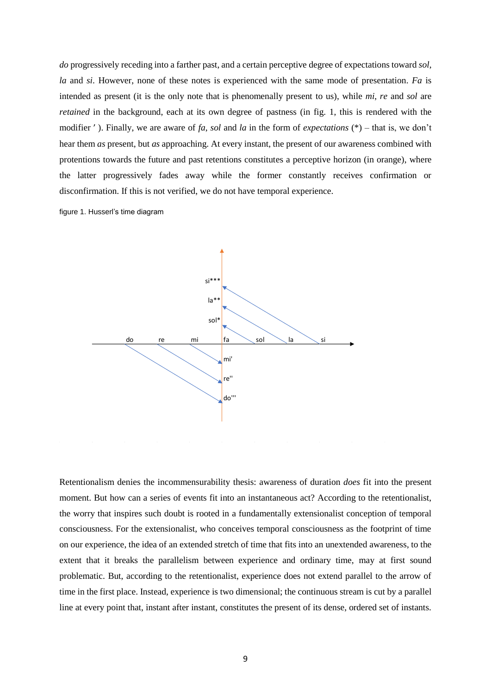*do* progressively receding into a farther past, and a certain perceptive degree of expectations toward *sol*, *la* and *si*. However, none of these notes is experienced with the same mode of presentation. *Fa* is intended as present (it is the only note that is phenomenally present to us), while *mi*, *re* and *sol* are *retained* in the background, each at its own degree of pastness (in fig. 1, this is rendered with the modifier ' ). Finally, we are aware of *fa*, *sol* and *la* in the form of *expectations* (\*) – that is, we don't hear them *as* present, but *as* approaching. At every instant, the present of our awareness combined with protentions towards the future and past retentions constitutes a perceptive horizon (in orange), where the latter progressively fades away while the former constantly receives confirmation or disconfirmation. If this is not verified, we do not have temporal experience.

figure 1. Husserl's time diagram



Retentionalism denies the incommensurability thesis: awareness of duration *does* fit into the present moment. But how can a series of events fit into an instantaneous act? According to the retentionalist, the worry that inspires such doubt is rooted in a fundamentally extensionalist conception of temporal consciousness. For the extensionalist, who conceives temporal consciousness as the footprint of time on our experience, the idea of an extended stretch of time that fits into an unextended awareness, to the extent that it breaks the parallelism between experience and ordinary time, may at first sound problematic. But, according to the retentionalist, experience does not extend parallel to the arrow of time in the first place. Instead, experience is two dimensional; the continuous stream is cut by a parallel line at every point that, instant after instant, constitutes the present of its dense, ordered set of instants.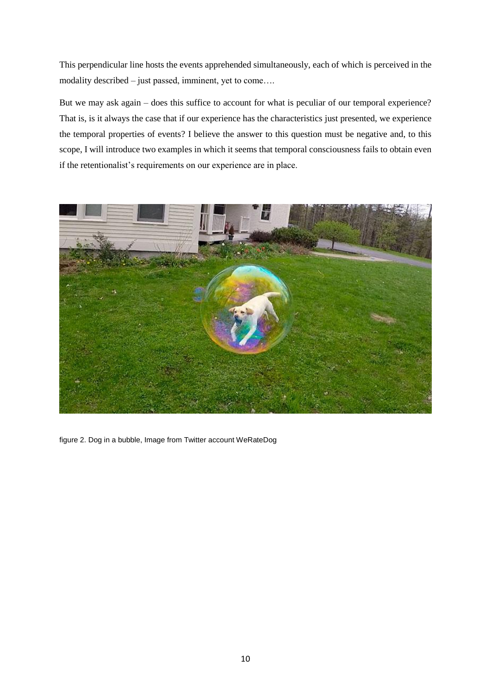This perpendicular line hosts the events apprehended simultaneously, each of which is perceived in the modality described – just passed, imminent, yet to come….

But we may ask again – does this suffice to account for what is peculiar of our temporal experience? That is, is it always the case that if our experience has the characteristics just presented, we experience the temporal properties of events? I believe the answer to this question must be negative and, to this scope, I will introduce two examples in which it seems that temporal consciousness fails to obtain even if the retentionalist's requirements on our experience are in place.



figure 2. Dog in a bubble, Image from Twitter account WeRateDog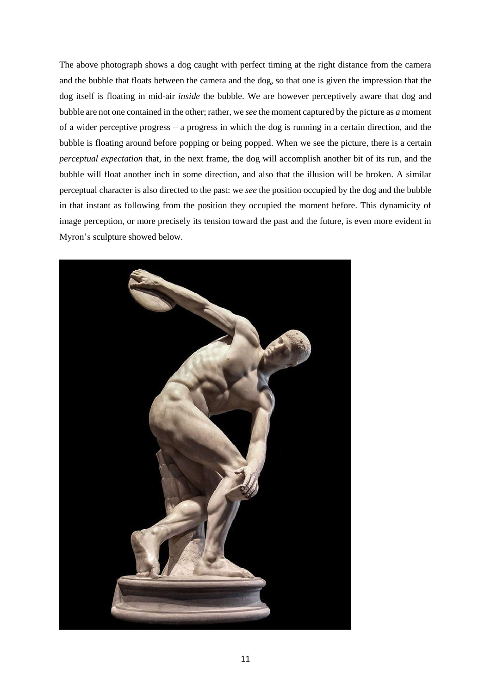The above photograph shows a dog caught with perfect timing at the right distance from the camera and the bubble that floats between the camera and the dog, so that one is given the impression that the dog itself is floating in mid-air *inside* the bubble. We are however perceptively aware that dog and bubble are not one contained in the other; rather, we *see* the moment captured by the picture as *a* moment of a wider perceptive progress – a progress in which the dog is running in a certain direction, and the bubble is floating around before popping or being popped. When we see the picture, there is a certain *perceptual expectation* that, in the next frame, the dog will accomplish another bit of its run, and the bubble will float another inch in some direction, and also that the illusion will be broken. A similar perceptual character is also directed to the past: we *see* the position occupied by the dog and the bubble in that instant as following from the position they occupied the moment before. This dynamicity of image perception, or more precisely its tension toward the past and the future, is even more evident in Myron's sculpture showed below.

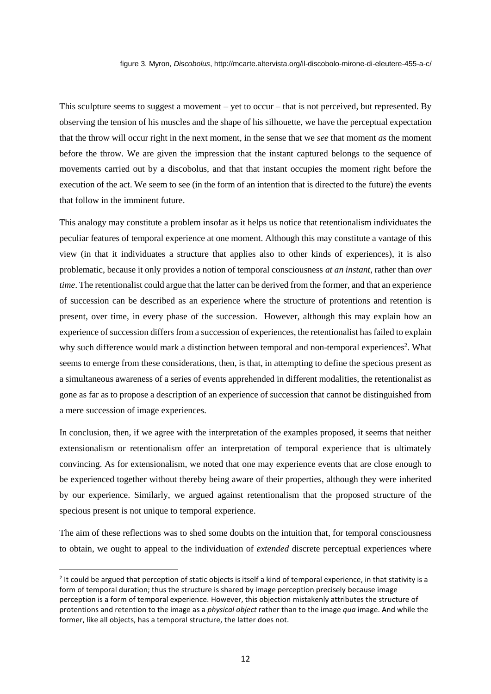This sculpture seems to suggest a movement – yet to occur – that is not perceived, but represented. By observing the tension of his muscles and the shape of his silhouette, we have the perceptual expectation that the throw will occur right in the next moment, in the sense that we *see* that moment *as* the moment before the throw. We are given the impression that the instant captured belongs to the sequence of movements carried out by a discobolus, and that that instant occupies the moment right before the execution of the act. We seem to see (in the form of an intention that is directed to the future) the events that follow in the imminent future.

This analogy may constitute a problem insofar as it helps us notice that retentionalism individuates the peculiar features of temporal experience at one moment. Although this may constitute a vantage of this view (in that it individuates a structure that applies also to other kinds of experiences), it is also problematic, because it only provides a notion of temporal consciousness *at an instant*, rather than *over time*. The retentionalist could argue that the latter can be derived from the former, and that an experience of succession can be described as an experience where the structure of protentions and retention is present, over time, in every phase of the succession. However, although this may explain how an experience of succession differs from a succession of experiences, the retentionalist has failed to explain why such difference would mark a distinction between temporal and non-temporal experiences<sup>2</sup>. What seems to emerge from these considerations, then, is that, in attempting to define the specious present as a simultaneous awareness of a series of events apprehended in different modalities, the retentionalist as gone as far as to propose a description of an experience of succession that cannot be distinguished from a mere succession of image experiences.

In conclusion, then, if we agree with the interpretation of the examples proposed, it seems that neither extensionalism or retentionalism offer an interpretation of temporal experience that is ultimately convincing. As for extensionalism, we noted that one may experience events that are close enough to be experienced together without thereby being aware of their properties, although they were inherited by our experience. Similarly, we argued against retentionalism that the proposed structure of the specious present is not unique to temporal experience.

The aim of these reflections was to shed some doubts on the intuition that, for temporal consciousness to obtain, we ought to appeal to the individuation of *extended* discrete perceptual experiences where

 $2$  It could be argued that perception of static objects is itself a kind of temporal experience, in that stativity is a form of temporal duration; thus the structure is shared by image perception precisely because image perception is a form of temporal experience. However, this objection mistakenly attributes the structure of protentions and retention to the image as a *physical object* rather than to the image *qua* image. And while the former, like all objects, has a temporal structure, the latter does not.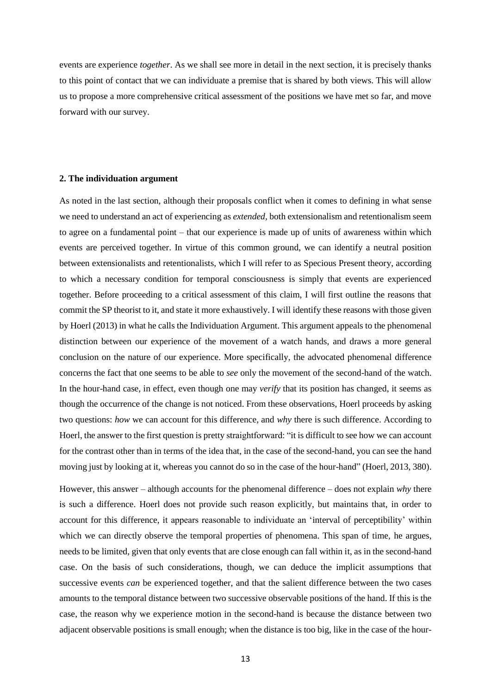events are experience *together*. As we shall see more in detail in the next section, it is precisely thanks to this point of contact that we can individuate a premise that is shared by both views. This will allow us to propose a more comprehensive critical assessment of the positions we have met so far, and move forward with our survey.

#### **2. The individuation argument**

As noted in the last section, although their proposals conflict when it comes to defining in what sense we need to understand an act of experiencing as *extended*, both extensionalism and retentionalism seem to agree on a fundamental point – that our experience is made up of units of awareness within which events are perceived together. In virtue of this common ground, we can identify a neutral position between extensionalists and retentionalists, which I will refer to as Specious Present theory, according to which a necessary condition for temporal consciousness is simply that events are experienced together. Before proceeding to a critical assessment of this claim, I will first outline the reasons that commit the SP theorist to it, and state it more exhaustively. I will identify these reasons with those given by Hoerl (2013) in what he calls the Individuation Argument. This argument appeals to the phenomenal distinction between our experience of the movement of a watch hands, and draws a more general conclusion on the nature of our experience. More specifically, the advocated phenomenal difference concerns the fact that one seems to be able to *see* only the movement of the second-hand of the watch. In the hour-hand case, in effect, even though one may *verify* that its position has changed, it seems as though the occurrence of the change is not noticed. From these observations, Hoerl proceeds by asking two questions: *how* we can account for this difference, and *why* there is such difference. According to Hoerl, the answer to the first question is pretty straightforward: "it is difficult to see how we can account for the contrast other than in terms of the idea that, in the case of the second-hand, you can see the hand moving just by looking at it, whereas you cannot do so in the case of the hour-hand" (Hoerl, 2013, 380).

However, this answer – although accounts for the phenomenal difference – does not explain *why* there is such a difference. Hoerl does not provide such reason explicitly, but maintains that, in order to account for this difference, it appears reasonable to individuate an 'interval of perceptibility' within which we can directly observe the temporal properties of phenomena. This span of time, he argues, needs to be limited, given that only events that are close enough can fall within it, as in the second-hand case. On the basis of such considerations, though, we can deduce the implicit assumptions that successive events *can* be experienced together, and that the salient difference between the two cases amounts to the temporal distance between two successive observable positions of the hand. If this is the case, the reason why we experience motion in the second-hand is because the distance between two adjacent observable positions is small enough; when the distance is too big, like in the case of the hour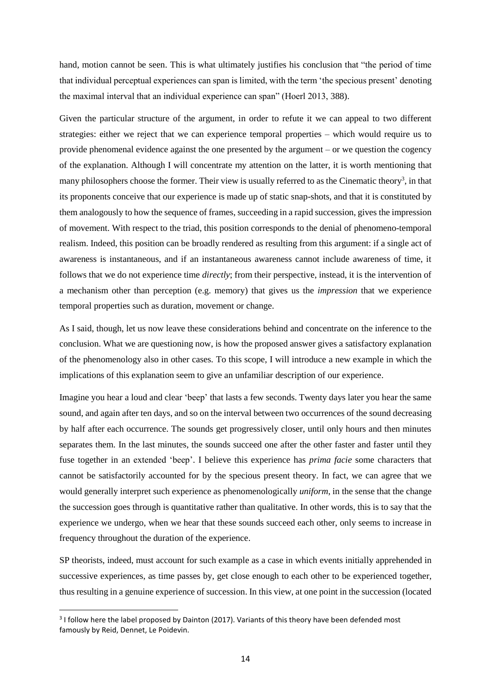hand, motion cannot be seen. This is what ultimately justifies his conclusion that "the period of time that individual perceptual experiences can span is limited, with the term 'the specious present' denoting the maximal interval that an individual experience can span" (Hoerl 2013, 388).

Given the particular structure of the argument, in order to refute it we can appeal to two different strategies: either we reject that we can experience temporal properties – which would require us to provide phenomenal evidence against the one presented by the argument – or we question the cogency of the explanation. Although I will concentrate my attention on the latter, it is worth mentioning that many philosophers choose the former. Their view is usually referred to as the Cinematic theory<sup>3</sup>, in that its proponents conceive that our experience is made up of static snap-shots, and that it is constituted by them analogously to how the sequence of frames, succeeding in a rapid succession, gives the impression of movement. With respect to the triad, this position corresponds to the denial of phenomeno-temporal realism. Indeed, this position can be broadly rendered as resulting from this argument: if a single act of awareness is instantaneous, and if an instantaneous awareness cannot include awareness of time, it follows that we do not experience time *directly*; from their perspective, instead, it is the intervention of a mechanism other than perception (e.g. memory) that gives us the *impression* that we experience temporal properties such as duration, movement or change.

As I said, though, let us now leave these considerations behind and concentrate on the inference to the conclusion. What we are questioning now, is how the proposed answer gives a satisfactory explanation of the phenomenology also in other cases. To this scope, I will introduce a new example in which the implications of this explanation seem to give an unfamiliar description of our experience.

Imagine you hear a loud and clear 'beep' that lasts a few seconds. Twenty days later you hear the same sound, and again after ten days, and so on the interval between two occurrences of the sound decreasing by half after each occurrence. The sounds get progressively closer, until only hours and then minutes separates them. In the last minutes, the sounds succeed one after the other faster and faster until they fuse together in an extended 'beep'. I believe this experience has *prima facie* some characters that cannot be satisfactorily accounted for by the specious present theory. In fact, we can agree that we would generally interpret such experience as phenomenologically *uniform*, in the sense that the change the succession goes through is quantitative rather than qualitative. In other words, this is to say that the experience we undergo, when we hear that these sounds succeed each other, only seems to increase in frequency throughout the duration of the experience.

SP theorists, indeed, must account for such example as a case in which events initially apprehended in successive experiences, as time passes by, get close enough to each other to be experienced together, thus resulting in a genuine experience of succession. In this view, at one point in the succession (located

1

<sup>&</sup>lt;sup>3</sup> I follow here the label proposed by Dainton (2017). Variants of this theory have been defended most famously by Reid, Dennet, Le Poidevin.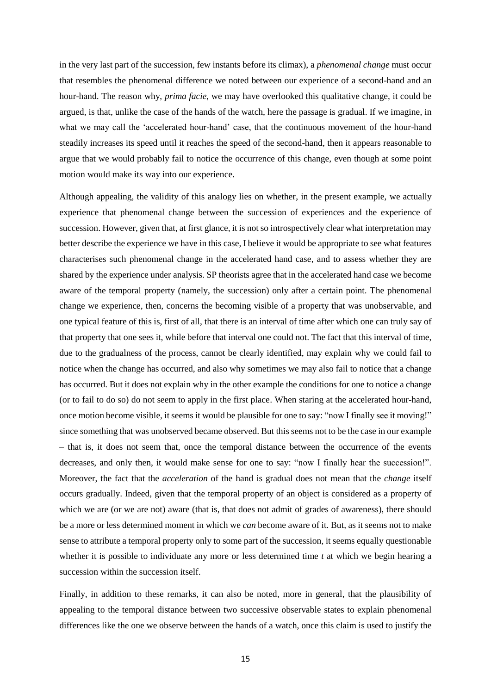in the very last part of the succession, few instants before its climax), a *phenomenal change* must occur that resembles the phenomenal difference we noted between our experience of a second-hand and an hour-hand. The reason why, *prima facie*, we may have overlooked this qualitative change, it could be argued, is that, unlike the case of the hands of the watch, here the passage is gradual. If we imagine, in what we may call the 'accelerated hour-hand' case, that the continuous movement of the hour-hand steadily increases its speed until it reaches the speed of the second-hand, then it appears reasonable to argue that we would probably fail to notice the occurrence of this change, even though at some point motion would make its way into our experience.

Although appealing, the validity of this analogy lies on whether, in the present example, we actually experience that phenomenal change between the succession of experiences and the experience of succession. However, given that, at first glance, it is not so introspectively clear what interpretation may better describe the experience we have in this case, I believe it would be appropriate to see what features characterises such phenomenal change in the accelerated hand case, and to assess whether they are shared by the experience under analysis. SP theorists agree that in the accelerated hand case we become aware of the temporal property (namely, the succession) only after a certain point. The phenomenal change we experience, then, concerns the becoming visible of a property that was unobservable, and one typical feature of this is, first of all, that there is an interval of time after which one can truly say of that property that one sees it, while before that interval one could not. The fact that this interval of time, due to the gradualness of the process, cannot be clearly identified, may explain why we could fail to notice when the change has occurred, and also why sometimes we may also fail to notice that a change has occurred. But it does not explain why in the other example the conditions for one to notice a change (or to fail to do so) do not seem to apply in the first place. When staring at the accelerated hour-hand, once motion become visible, it seems it would be plausible for one to say: "now I finally see it moving!" since something that was unobserved became observed. But this seems not to be the case in our example – that is, it does not seem that, once the temporal distance between the occurrence of the events decreases, and only then, it would make sense for one to say: "now I finally hear the succession!". Moreover, the fact that the *acceleration* of the hand is gradual does not mean that the *change* itself occurs gradually. Indeed, given that the temporal property of an object is considered as a property of which we are (or we are not) aware (that is, that does not admit of grades of awareness), there should be a more or less determined moment in which we *can* become aware of it. But, as it seems not to make sense to attribute a temporal property only to some part of the succession, it seems equally questionable whether it is possible to individuate any more or less determined time *t* at which we begin hearing a succession within the succession itself.

Finally, in addition to these remarks, it can also be noted, more in general, that the plausibility of appealing to the temporal distance between two successive observable states to explain phenomenal differences like the one we observe between the hands of a watch, once this claim is used to justify the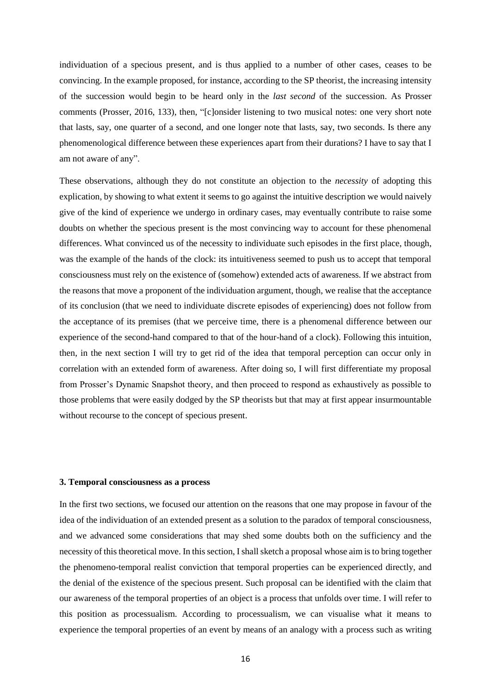individuation of a specious present, and is thus applied to a number of other cases, ceases to be convincing. In the example proposed, for instance, according to the SP theorist, the increasing intensity of the succession would begin to be heard only in the *last second* of the succession. As Prosser comments (Prosser, 2016, 133), then, "[c]onsider listening to two musical notes: one very short note that lasts, say, one quarter of a second, and one longer note that lasts, say, two seconds. Is there any phenomenological difference between these experiences apart from their durations? I have to say that I am not aware of any".

These observations, although they do not constitute an objection to the *necessity* of adopting this explication, by showing to what extent it seems to go against the intuitive description we would naively give of the kind of experience we undergo in ordinary cases, may eventually contribute to raise some doubts on whether the specious present is the most convincing way to account for these phenomenal differences. What convinced us of the necessity to individuate such episodes in the first place, though, was the example of the hands of the clock: its intuitiveness seemed to push us to accept that temporal consciousness must rely on the existence of (somehow) extended acts of awareness. If we abstract from the reasons that move a proponent of the individuation argument, though, we realise that the acceptance of its conclusion (that we need to individuate discrete episodes of experiencing) does not follow from the acceptance of its premises (that we perceive time, there is a phenomenal difference between our experience of the second-hand compared to that of the hour-hand of a clock). Following this intuition, then, in the next section I will try to get rid of the idea that temporal perception can occur only in correlation with an extended form of awareness. After doing so, I will first differentiate my proposal from Prosser's Dynamic Snapshot theory, and then proceed to respond as exhaustively as possible to those problems that were easily dodged by the SP theorists but that may at first appear insurmountable without recourse to the concept of specious present.

#### **3. Temporal consciousness as a process**

In the first two sections, we focused our attention on the reasons that one may propose in favour of the idea of the individuation of an extended present as a solution to the paradox of temporal consciousness, and we advanced some considerations that may shed some doubts both on the sufficiency and the necessity of this theoretical move. In this section, I shall sketch a proposal whose aim is to bring together the phenomeno-temporal realist conviction that temporal properties can be experienced directly, and the denial of the existence of the specious present. Such proposal can be identified with the claim that our awareness of the temporal properties of an object is a process that unfolds over time. I will refer to this position as processualism. According to processualism, we can visualise what it means to experience the temporal properties of an event by means of an analogy with a process such as writing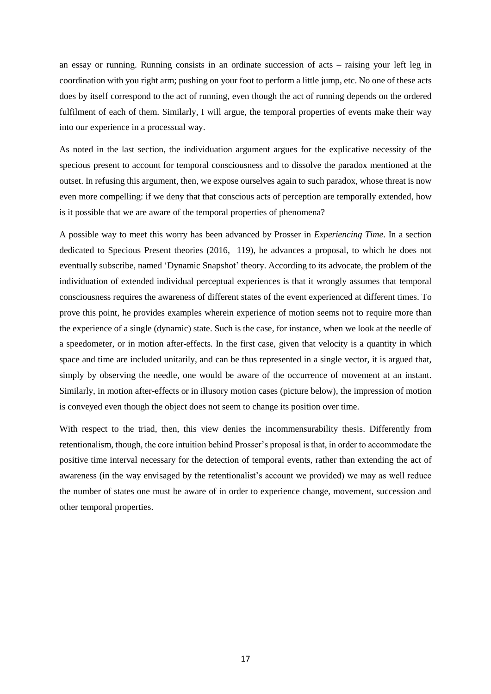an essay or running. Running consists in an ordinate succession of acts – raising your left leg in coordination with you right arm; pushing on your foot to perform a little jump, etc. No one of these acts does by itself correspond to the act of running, even though the act of running depends on the ordered fulfilment of each of them. Similarly, I will argue, the temporal properties of events make their way into our experience in a processual way.

As noted in the last section, the individuation argument argues for the explicative necessity of the specious present to account for temporal consciousness and to dissolve the paradox mentioned at the outset. In refusing this argument, then, we expose ourselves again to such paradox, whose threat is now even more compelling: if we deny that that conscious acts of perception are temporally extended, how is it possible that we are aware of the temporal properties of phenomena?

A possible way to meet this worry has been advanced by Prosser in *Experiencing Time*. In a section dedicated to Specious Present theories (2016, 119), he advances a proposal, to which he does not eventually subscribe, named 'Dynamic Snapshot' theory. According to its advocate, the problem of the individuation of extended individual perceptual experiences is that it wrongly assumes that temporal consciousness requires the awareness of different states of the event experienced at different times. To prove this point, he provides examples wherein experience of motion seems not to require more than the experience of a single (dynamic) state. Such is the case, for instance, when we look at the needle of a speedometer, or in motion after-effects. In the first case, given that velocity is a quantity in which space and time are included unitarily, and can be thus represented in a single vector, it is argued that, simply by observing the needle, one would be aware of the occurrence of movement at an instant. Similarly, in motion after-effects or in illusory motion cases (picture below), the impression of motion is conveyed even though the object does not seem to change its position over time.

With respect to the triad, then, this view denies the incommensurability thesis. Differently from retentionalism, though, the core intuition behind Prosser's proposal is that, in order to accommodate the positive time interval necessary for the detection of temporal events, rather than extending the act of awareness (in the way envisaged by the retentionalist's account we provided) we may as well reduce the number of states one must be aware of in order to experience change, movement, succession and other temporal properties.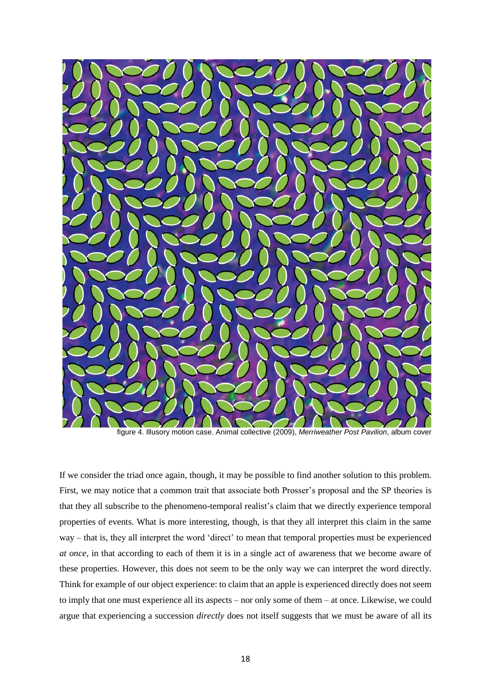

figure 4. Illusory motion case. Animal collective (2009), *Merriweather Post Pavilion*, album cover

If we consider the triad once again, though, it may be possible to find another solution to this problem. First, we may notice that a common trait that associate both Prosser's proposal and the SP theories is that they all subscribe to the phenomeno-temporal realist's claim that we directly experience temporal properties of events. What is more interesting, though, is that they all interpret this claim in the same way – that is, they all interpret the word 'direct' to mean that temporal properties must be experienced *at once*, in that according to each of them it is in a single act of awareness that we become aware of these properties. However, this does not seem to be the only way we can interpret the word directly. Think for example of our object experience: to claim that an apple is experienced directly does not seem to imply that one must experience all its aspects – nor only some of them – at once. Likewise, we could argue that experiencing a succession *directly* does not itself suggests that we must be aware of all its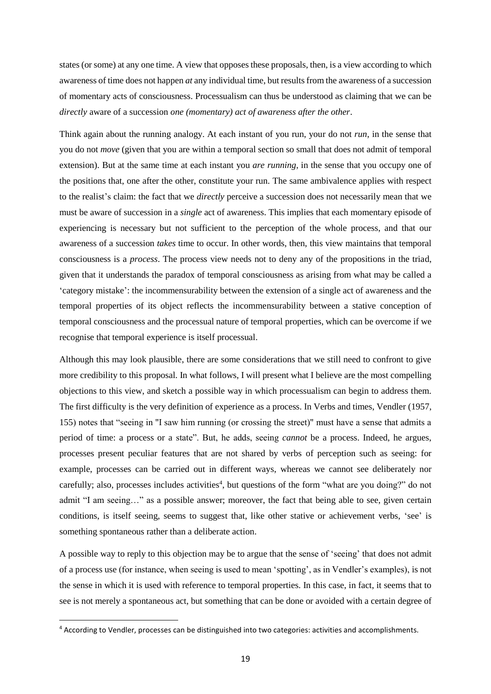states (or some) at any one time. A view that opposes these proposals, then, is a view according to which awareness of time does not happen *at* any individual time, but results from the awareness of a succession of momentary acts of consciousness. Processualism can thus be understood as claiming that we can be *directly* aware of a succession *one (momentary) act of awareness after the other*.

Think again about the running analogy. At each instant of you run, your do not *run*, in the sense that you do not *move* (given that you are within a temporal section so small that does not admit of temporal extension). But at the same time at each instant you *are running*, in the sense that you occupy one of the positions that, one after the other, constitute your run. The same ambivalence applies with respect to the realist's claim: the fact that we *directly* perceive a succession does not necessarily mean that we must be aware of succession in a *single* act of awareness. This implies that each momentary episode of experiencing is necessary but not sufficient to the perception of the whole process, and that our awareness of a succession *takes* time to occur. In other words, then, this view maintains that temporal consciousness is a *process*. The process view needs not to deny any of the propositions in the triad, given that it understands the paradox of temporal consciousness as arising from what may be called a 'category mistake': the incommensurability between the extension of a single act of awareness and the temporal properties of its object reflects the incommensurability between a stative conception of temporal consciousness and the processual nature of temporal properties, which can be overcome if we recognise that temporal experience is itself processual.

Although this may look plausible, there are some considerations that we still need to confront to give more credibility to this proposal. In what follows, I will present what I believe are the most compelling objections to this view, and sketch a possible way in which processualism can begin to address them. The first difficulty is the very definition of experience as a process. In Verbs and times, Vendler (1957, 155) notes that "seeing in "I saw him running (or crossing the street)" must have a sense that admits a period of time: a process or a state". But, he adds, seeing *cannot* be a process. Indeed, he argues, processes present peculiar features that are not shared by verbs of perception such as seeing: for example, processes can be carried out in different ways, whereas we cannot see deliberately nor carefully; also, processes includes activities<sup>4</sup>, but questions of the form "what are you doing?" do not admit "I am seeing…" as a possible answer; moreover, the fact that being able to see, given certain conditions, is itself seeing, seems to suggest that, like other stative or achievement verbs, 'see' is something spontaneous rather than a deliberate action.

A possible way to reply to this objection may be to argue that the sense of 'seeing' that does not admit of a process use (for instance, when seeing is used to mean 'spotting', as in Vendler's examples), is not the sense in which it is used with reference to temporal properties. In this case, in fact, it seems that to see is not merely a spontaneous act, but something that can be done or avoided with a certain degree of

<sup>4</sup> According to Vendler, processes can be distinguished into two categories: activities and accomplishments.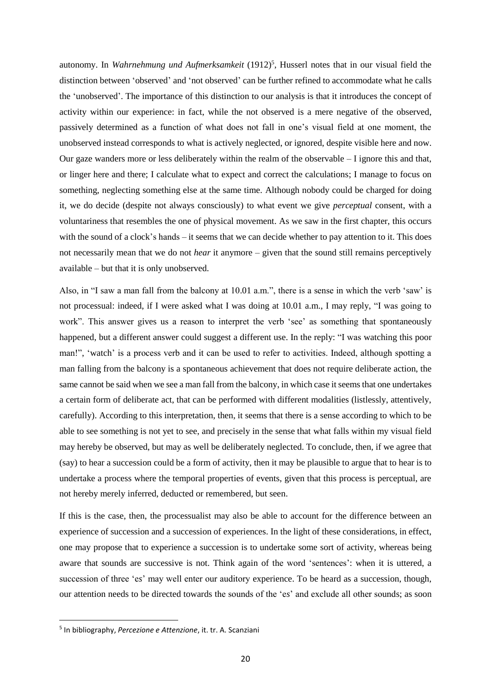autonomy. In *Wahrnehmung und Aufmerksamkeit* (1912) 5 , Husserl notes that in our visual field the distinction between 'observed' and 'not observed' can be further refined to accommodate what he calls the 'unobserved'. The importance of this distinction to our analysis is that it introduces the concept of activity within our experience: in fact, while the not observed is a mere negative of the observed, passively determined as a function of what does not fall in one's visual field at one moment, the unobserved instead corresponds to what is actively neglected, or ignored, despite visible here and now. Our gaze wanders more or less deliberately within the realm of the observable – I ignore this and that, or linger here and there; I calculate what to expect and correct the calculations; I manage to focus on something, neglecting something else at the same time. Although nobody could be charged for doing it, we do decide (despite not always consciously) to what event we give *perceptual* consent, with a voluntariness that resembles the one of physical movement. As we saw in the first chapter, this occurs with the sound of a clock's hands – it seems that we can decide whether to pay attention to it. This does not necessarily mean that we do not *hear* it anymore – given that the sound still remains perceptively available – but that it is only unobserved.

Also, in "I saw a man fall from the balcony at 10.01 a.m.", there is a sense in which the verb 'saw' is not processual: indeed, if I were asked what I was doing at 10.01 a.m., I may reply, "I was going to work". This answer gives us a reason to interpret the verb 'see' as something that spontaneously happened, but a different answer could suggest a different use. In the reply: "I was watching this poor man!", 'watch' is a process verb and it can be used to refer to activities. Indeed, although spotting a man falling from the balcony is a spontaneous achievement that does not require deliberate action, the same cannot be said when we see a man fall from the balcony, in which case it seems that one undertakes a certain form of deliberate act, that can be performed with different modalities (listlessly, attentively, carefully). According to this interpretation, then, it seems that there is a sense according to which to be able to see something is not yet to see, and precisely in the sense that what falls within my visual field may hereby be observed, but may as well be deliberately neglected. To conclude, then, if we agree that (say) to hear a succession could be a form of activity, then it may be plausible to argue that to hear is to undertake a process where the temporal properties of events, given that this process is perceptual, are not hereby merely inferred, deducted or remembered, but seen.

If this is the case, then, the processualist may also be able to account for the difference between an experience of succession and a succession of experiences. In the light of these considerations, in effect, one may propose that to experience a succession is to undertake some sort of activity, whereas being aware that sounds are successive is not. Think again of the word 'sentences': when it is uttered, a succession of three 'e*s*' may well enter our auditory experience. To be heard as a succession, though, our attention needs to be directed towards the sounds of the 'e*s*' and exclude all other sounds; as soon

<sup>5</sup> In bibliography, *Percezione e Attenzione*, it. tr. A. Scanziani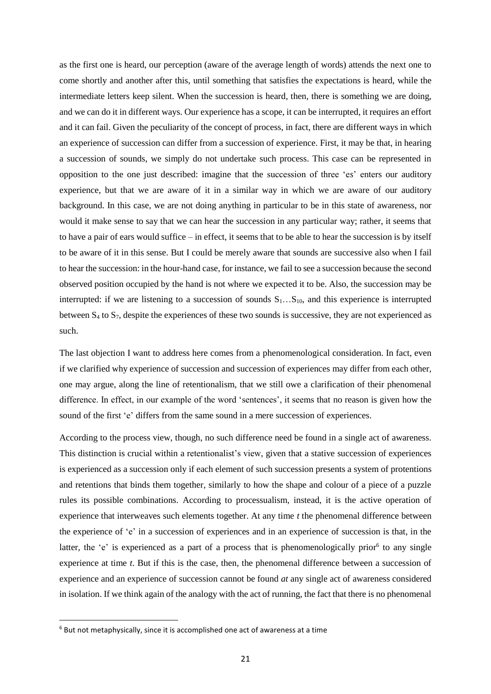as the first one is heard, our perception (aware of the average length of words) attends the next one to come shortly and another after this, until something that satisfies the expectations is heard, while the intermediate letters keep silent. When the succession is heard, then, there is something we are doing, and we can do it in different ways. Our experience has a scope, it can be interrupted, it requires an effort and it can fail. Given the peculiarity of the concept of process, in fact, there are different ways in which an experience of succession can differ from a succession of experience. First, it may be that, in hearing a succession of sounds, we simply do not undertake such process. This case can be represented in opposition to the one just described: imagine that the succession of three 'e*s*' enters our auditory experience, but that we are aware of it in a similar way in which we are aware of our auditory background. In this case, we are not doing anything in particular to be in this state of awareness, nor would it make sense to say that we can hear the succession in any particular way; rather, it seems that to have a pair of ears would suffice – in effect, it seems that to be able to hear the succession is by itself to be aware of it in this sense. But I could be merely aware that sounds are successive also when I fail to hear the succession: in the hour-hand case, for instance, we fail to see a succession because the second observed position occupied by the hand is not where we expected it to be. Also, the succession may be interrupted: if we are listening to a succession of sounds  $S_1...S_{10}$ , and this experience is interrupted between S<sup>4</sup> to S7, despite the experiences of these two sounds is successive, they are not experienced as such.

The last objection I want to address here comes from a phenomenological consideration. In fact, even if we clarified why experience of succession and succession of experiences may differ from each other, one may argue, along the line of retentionalism, that we still owe a clarification of their phenomenal difference. In effect, in our example of the word 'sentences', it seems that no reason is given how the sound of the first 'e' differs from the same sound in a mere succession of experiences.

According to the process view, though, no such difference need be found in a single act of awareness. This distinction is crucial within a retentionalist's view, given that a stative succession of experiences is experienced as a succession only if each element of such succession presents a system of protentions and retentions that binds them together, similarly to how the shape and colour of a piece of a puzzle rules its possible combinations. According to processualism, instead, it is the active operation of experience that interweaves such elements together. At any time *t* the phenomenal difference between the experience of 'e' in a succession of experiences and in an experience of succession is that, in the latter, the 'e' is experienced as a part of a process that is phenomenologically prior<sup>6</sup> to any single experience at time *t*. But if this is the case, then, the phenomenal difference between a succession of experience and an experience of succession cannot be found *at* any single act of awareness considered in isolation. If we think again of the analogy with the act of running, the fact that there is no phenomenal

<sup>6</sup> But not metaphysically, since it is accomplished one act of awareness at a time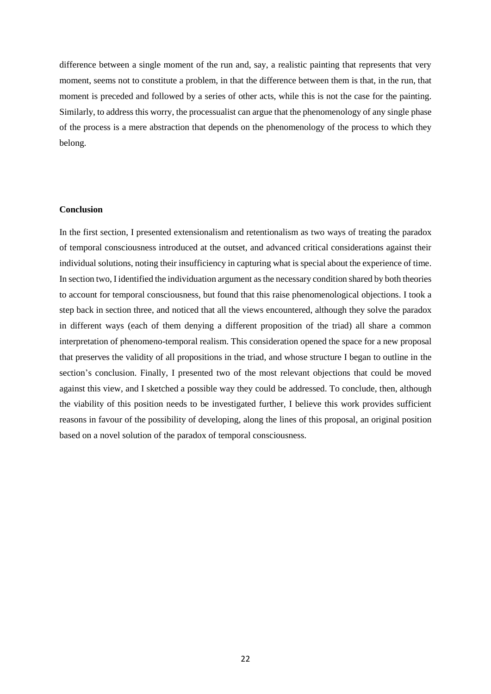difference between a single moment of the run and, say, a realistic painting that represents that very moment, seems not to constitute a problem, in that the difference between them is that, in the run, that moment is preceded and followed by a series of other acts, while this is not the case for the painting. Similarly, to address this worry, the processualist can argue that the phenomenology of any single phase of the process is a mere abstraction that depends on the phenomenology of the process to which they belong.

### **Conclusion**

In the first section, I presented extensionalism and retentionalism as two ways of treating the paradox of temporal consciousness introduced at the outset, and advanced critical considerations against their individual solutions, noting their insufficiency in capturing what is special about the experience of time. In section two, I identified the individuation argument as the necessary condition shared by both theories to account for temporal consciousness, but found that this raise phenomenological objections. I took a step back in section three, and noticed that all the views encountered, although they solve the paradox in different ways (each of them denying a different proposition of the triad) all share a common interpretation of phenomeno-temporal realism. This consideration opened the space for a new proposal that preserves the validity of all propositions in the triad, and whose structure I began to outline in the section's conclusion. Finally, I presented two of the most relevant objections that could be moved against this view, and I sketched a possible way they could be addressed. To conclude, then, although the viability of this position needs to be investigated further, I believe this work provides sufficient reasons in favour of the possibility of developing, along the lines of this proposal, an original position based on a novel solution of the paradox of temporal consciousness.